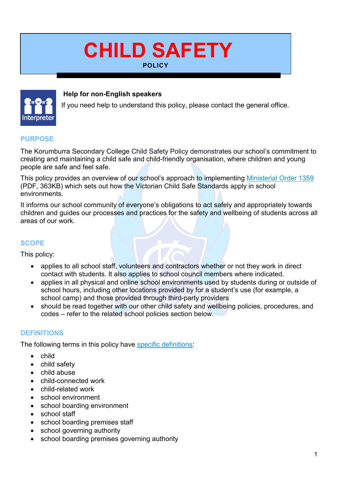# **CHILD SAFETY POLICY**



#### **Help for non-English speakers**

If you need help to understand this policy, please contact the general office. 

#### **PURPOSE**

The Korumburra Secondary College Child Safety Policy demonstrates our school's commitment to creating and maintaining a child safe and child-friendly organisation, where children and young people are safe and feel safe.

This policy provides an overview of our school's approach to implementing [Ministerial Order 1359](https://www.education.vic.gov.au/Documents/about/programs/health/protect/Ministerial_Order.pdf) (PDF, 363KB) which sets out how the Victorian Child Safe Standards apply in school environments.

It informs our school community of everyone's obligations to act safely and appropriately towards children and guides our processes and practices for the safety and wellbeing of students across all areas of our work.

#### **SCOPE**

This policy:

- applies to all school staff, volunteers and contractors whether or not they work in direct contact with students. It also applies to school council members where indicated.
- applies in all physical and online school environments used by students during or outside of school hours, including other locations provided by for a student's use (for example, a school camp) and those provided through third-party providers
- should be read together with our other child safety and wellbeing policies, procedures, and codes – refer to the related school policies section below.

#### **DEFINITIONS**

The following terms in this policy have [specific definitions:](https://www.vic.gov.au/child-safe-standards-definitions)

- child
- child safety
- child abuse
- child-connected work
- child-related work
- school environment
- school boarding environment
- school staff
- school boarding premises staff
- school governing authority
- school boarding premises governing authority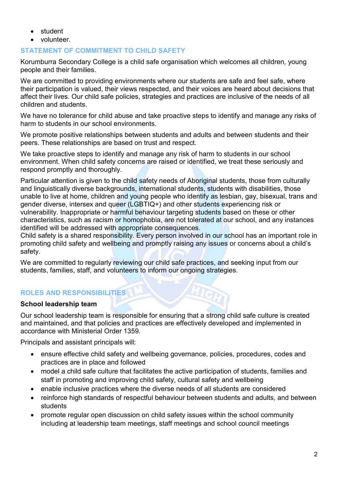- student
- volunteer.

## **STATEMENT OF COMMITMENT TO CHILD SAFETY**

Korumburra Secondary College is a child safe organisation which welcomes all children, young people and their families.

We are committed to providing environments where our students are safe and feel safe, where their participation is valued, their views respected, and their voices are heard about decisions that affect their lives. Our child safe policies, strategies and practices are inclusive of the needs of all children and students.

We have no tolerance for child abuse and take proactive steps to identify and manage any risks of harm to students in our school environments.

We promote positive relationships between students and adults and between students and their peers. These relationships are based on trust and respect.

We take proactive steps to identify and manage any risk of harm to students in our school environment. When child safety concerns are raised or identified, we treat these seriously and respond promptly and thoroughly.

Particular attention is given to the child safety needs of Aboriginal students, those from culturally and linguistically diverse backgrounds, international students, students with disabilities, those unable to live at home, children and young people who identify as lesbian, gay, bisexual, trans and gender diverse, intersex and queer (LGBTIQ+) and other students experiencing risk or vulnerability. Inappropriate or harmful behaviour targeting students based on these or other characteristics, such as racism or homophobia, are not tolerated at our school, and any instances identified will be addressed with appropriate consequences.

Child safety is a shared responsibility. Every person involved in our school has an important role in promoting child safety and wellbeing and promptly raising any issues or concerns about a child's safety.

We are committed to regularly reviewing our child safe practices, and seeking input from our students, families, staff, and volunteers to inform our ongoing strategies.

# **ROLES AND RESPONSIBILITIES**

#### **School leadership team**

Our school leadership team is responsible for ensuring that a strong child safe culture is created and maintained, and that policies and practices are effectively developed and implemented in accordance with Ministerial Order 1359.

Principals and assistant principals will:

- ensure effective child safety and wellbeing governance, policies, procedures, codes and practices are in place and followed
- model a child safe culture that facilitates the active participation of students, families and staff in promoting and improving child safety, cultural safety and wellbeing
- enable inclusive practices where the diverse needs of all students are considered
- reinforce high standards of respectful behaviour between students and adults, and between students
- promote regular open discussion on child safety issues within the school community including at leadership team meetings, staff meetings and school council meetings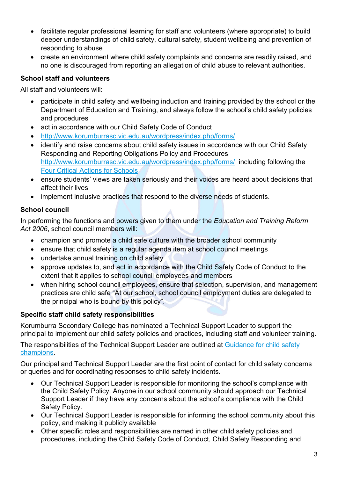- facilitate regular professional learning for staff and volunteers (where appropriate) to build deeper understandings of child safety, cultural safety, student wellbeing and prevention of responding to abuse
- create an environment where child safety complaints and concerns are readily raised, and no one is discouraged from reporting an allegation of child abuse to relevant authorities.

# **School staff and volunteers**

All staff and volunteers will:

- participate in child safety and wellbeing induction and training provided by the school or the Department of Education and Training, and always follow the school's child safety policies and procedures
- act in accordance with our Child Safety Code of Conduct
- <http://www.korumburrasc.vic.edu.au/wordpress/index.php/forms/>
- identify and raise concerns about child safety issues in accordance with our Child Safety Responding and Reporting Obligations Policy and Procedures <http://www.korumburrasc.vic.edu.au/wordpress/index.php/forms/>including following the [Four Critical Actions for Schools](https://www.education.vic.gov.au/school/teachers/health/childprotection/Pages/report.aspx)
- ensure students' views are taken seriously and their voices are heard about decisions that affect their lives
- implement inclusive practices that respond to the diverse needs of students.

# **School council**

In performing the functions and powers given to them under the *Education and Training Reform Act 2006*, school council members will:

- champion and promote a child safe culture with the broader school community
- ensure that child safety is a regular agenda item at school council meetings
- undertake annual training on child safety
- approve updates to, and act in accordance with the Child Safety Code of Conduct to the extent that it applies to school council employees and members
- when hiring school council employees, ensure that selection, supervision, and management practices are child safe "At our school, school council employment duties are delegated to the principal who is bound by this policy".

# **Specific staff child safety responsibilities**

Korumburra Secondary College has nominated a Technical Support Leader to support the principal to implement our child safety policies and practices, including staff and volunteer training.

The responsibilities of the Technical Support Leader are outlined at Guidance for child safety [champions.](https://www.vic.gov.au/guidance-child-safety-champions)

Our principal and Technical Support Leader are the first point of contact for child safety concerns or queries and for coordinating responses to child safety incidents.

- Our Technical Support Leader is responsible for monitoring the school's compliance with the Child Safety Policy. Anyone in our school community should approach our Technical Support Leader if they have any concerns about the school's compliance with the Child Safety Policy.
- Our Technical Support Leader is responsible for informing the school community about this policy, and making it publicly available
- Other specific roles and responsibilities are named in other child safety policies and procedures, including the Child Safety Code of Conduct, Child Safety Responding and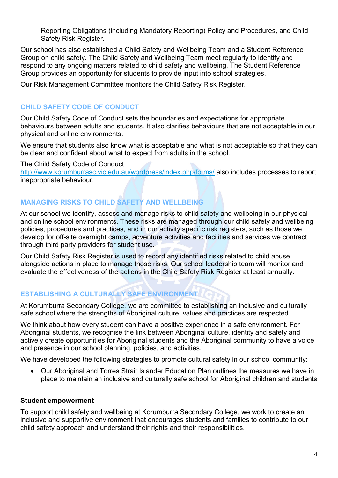Reporting Obligations (including Mandatory Reporting) Policy and Procedures, and Child Safety Risk Register.

Our school has also established a Child Safety and Wellbeing Team and a Student Reference Group on child safety. The Child Safety and Wellbeing Team meet regularly to identify and respond to any ongoing matters related to child safety and wellbeing. The Student Reference Group provides an opportunity for students to provide input into school strategies.

Our Risk Management Committee monitors the Child Safety Risk Register.

# **CHILD SAFETY CODE OF CONDUCT**

Our Child Safety Code of Conduct sets the boundaries and expectations for appropriate behaviours between adults and students. It also clarifies behaviours that are not acceptable in our physical and online environments.

We ensure that students also know what is acceptable and what is not acceptable so that they can be clear and confident about what to expect from adults in the school.

The Child Safety Code of Conduct

<http://www.korumburrasc.vic.edu.au/wordpress/index.php/forms/> also includes processes to report inappropriate behaviour.

# **MANAGING RISKS TO CHILD SAFETY AND WELLBEING**

At our school we identify, assess and manage risks to child safety and wellbeing in our physical and online school environments. These risks are managed through our child safety and wellbeing policies, procedures and practices, and in our activity specific risk registers, such as those we develop for off-site overnight camps, adventure activities and facilities and services we contract through third party providers for student use.

Our Child Safety Risk Register is used to record any identified risks related to child abuse alongside actions in place to manage those risks. Our school leadership team will monitor and evaluate the effectiveness of the actions in the Child Safety Risk Register at least annually.

# **ESTABLISHING A CULTURALLY SAFE ENVIRONMENT**

At Korumburra Secondary College, we are committed to establishing an inclusive and culturally safe school where the strengths of Aboriginal culture, values and practices are respected.

We think about how every student can have a positive experience in a safe environment. For Aboriginal students, we recognise the link between Aboriginal culture, identity and safety and actively create opportunities for Aboriginal students and the Aboriginal community to have a voice and presence in our school planning, policies, and activities.

We have developed the following strategies to promote cultural safety in our school community:

• Our Aboriginal and Torres Strait Islander Education Plan outlines the measures we have in place to maintain an inclusive and culturally safe school for Aboriginal children and students

#### **Student empowerment**

To support child safety and wellbeing at Korumburra Secondary College, we work to create an inclusive and supportive environment that encourages students and families to contribute to our child safety approach and understand their rights and their responsibilities.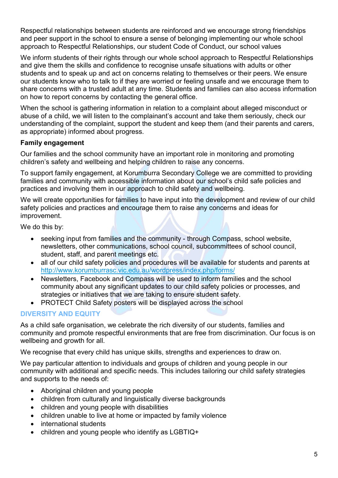Respectful relationships between students are reinforced and we encourage strong friendships and peer support in the school to ensure a sense of belonging implementing our whole school approach to Respectful Relationships, our student Code of Conduct, our school values

We inform students of their rights through our whole school approach to Respectful Relationships and give them the skills and confidence to recognise unsafe situations with adults or other students and to speak up and act on concerns relating to themselves or their peers. We ensure our students know who to talk to if they are worried or feeling unsafe and we encourage them to share concerns with a trusted adult at any time. Students and families can also access information on how to report concerns by contacting the general office.

When the school is gathering information in relation to a complaint about alleged misconduct or abuse of a child, we will listen to the complainant's account and take them seriously, check our understanding of the complaint, support the student and keep them (and their parents and carers, as appropriate) informed about progress.

## **Family engagement**

Our families and the school community have an important role in monitoring and promoting children's safety and wellbeing and helping children to raise any concerns.

To support family engagement, at Korumburra Secondary College we are committed to providing families and community with accessible information about our school's child safe policies and practices and involving them in our approach to child safety and wellbeing.

We will create opportunities for families to have input into the development and review of our child safety policies and practices and encourage them to raise any concerns and ideas for improvement.

We do this by:

- seeking input from families and the community through Compass, school website, newsletters, other communications, school council, subcommittees of school council, student, staff, and parent meetings etc.
- all of our child safety policies and procedures will be available for students and parents at <http://www.korumburrasc.vic.edu.au/wordpress/index.php/forms/>
- Newsletters, Facebook and Compass will be used to inform families and the school community about any significant updates to our child safety policies or processes, and strategies or initiatives that we are taking to ensure student safety.
- PROTECT Child Safety posters will be displayed across the school

#### **DIVERSITY AND EQUITY**

As a child safe organisation, we celebrate the rich diversity of our students, families and community and promote respectful environments that are free from discrimination. Our focus is on wellbeing and growth for all.

We recognise that every child has unique skills, strengths and experiences to draw on.

We pay particular attention to individuals and groups of children and young people in our community with additional and specific needs. This includes tailoring our child safety strategies and supports to the needs of:

- Aboriginal children and young people
- children from culturally and linguistically diverse backgrounds
- children and young people with disabilities
- children unable to live at home or impacted by family violence
- international students
- children and young people who identify as LGBTIQ+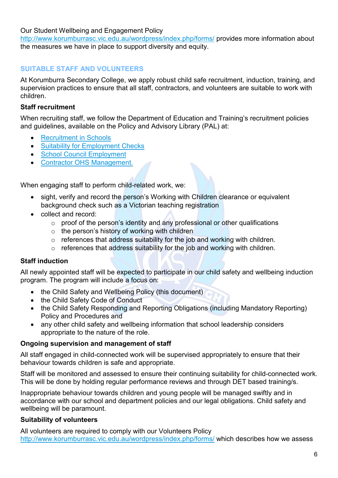Our Student Wellbeing and Engagement Policy

<http://www.korumburrasc.vic.edu.au/wordpress/index.php/forms/> provides more information about the measures we have in place to support diversity and equity.

# **SUITABLE STAFF AND VOLUNTEERS**

At Korumburra Secondary College, we apply robust child safe recruitment, induction, training, and supervision practices to ensure that all staff, contractors, and volunteers are suitable to work with children.

#### **Staff recruitment**

When recruiting staff, we follow the Department of Education and Training's recruitment policies and guidelines, available on the Policy and Advisory Library (PAL) at:

- [Recruitment in Schools](https://www2.education.vic.gov.au/pal/recruitment-schools/overview)
- [Suitability for Employment Checks](https://www2.education.vic.gov.au/pal/suitability-employment-checks/overview)
- [School Council Employment](https://www2.education.vic.gov.au/pal/school-council-employment/overview)
- [Contractor OHS Management.](https://www2.education.vic.gov.au/pal/contractor-ohs-management/policy)

When engaging staff to perform child-related work, we:

- sight, verify and record the person's Working with Children clearance or equivalent background check such as a Victorian teaching registration
- collect and record:
	- $\circ$  proof of the person's identity and any professional or other qualifications
	- o the person's history of working with children
	- o references that address suitability for the job and working with children.
	- $\circ$  references that address suitability for the job and working with children.

#### **Staff induction**

All newly appointed staff will be expected to participate in our child safety and wellbeing induction program. The program will include a focus on:

- the Child Safety and Wellbeing Policy (this document)
- the Child Safety Code of Conduct
- the Child Safety Responding and Reporting Obligations (including Mandatory Reporting) Policy and Procedures and
- any other child safety and wellbeing information that school leadership considers appropriate to the nature of the role.

#### **Ongoing supervision and management of staff**

All staff engaged in child-connected work will be supervised appropriately to ensure that their behaviour towards children is safe and appropriate.

Staff will be monitored and assessed to ensure their continuing suitability for child-connected work. This will be done by holding regular performance reviews and through DET based training/s.

Inappropriate behaviour towards children and young people will be managed swiftly and in accordance with our school and department policies and our legal obligations. Child safety and wellbeing will be paramount.

#### **Suitability of volunteers**

All volunteers are required to comply with our Volunteers Policy <http://www.korumburrasc.vic.edu.au/wordpress/index.php/forms/> which describes how we assess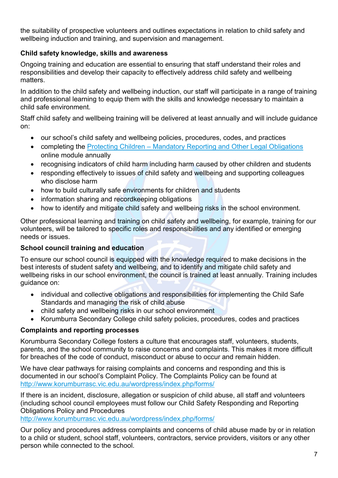the suitability of prospective volunteers and outlines expectations in relation to child safety and wellbeing induction and training, and supervision and management.

## **Child safety knowledge, skills and awareness**

Ongoing training and education are essential to ensuring that staff understand their roles and responsibilities and develop their capacity to effectively address child safety and wellbeing matters.

In addition to the child safety and wellbeing induction, our staff will participate in a range of training and professional learning to equip them with the skills and knowledge necessary to maintain a child safe environment.

Staff child safety and wellbeing training will be delivered at least annually and will include guidance on:

- our school's child safety and wellbeing policies, procedures, codes, and practices
- completing the **Protecting Children** [Mandatory Reporting and Other Legal Obligations](http://elearn.com.au/det/protectingchildren/) online module annually
- recognising indicators of child harm including harm caused by other children and students
- responding effectively to issues of child safety and wellbeing and supporting colleagues who disclose harm
- how to build culturally safe environments for children and students
- information sharing and recordkeeping obligations
- how to identify and mitigate child safety and wellbeing risks in the school environment.

Other professional learning and training on child safety and wellbeing, for example, training for our volunteers, will be tailored to specific roles and responsibilities and any identified or emerging needs or issues.

#### **School council training and education**

To ensure our school council is equipped with the knowledge required to make decisions in the best interests of student safety and wellbeing, and to identify and mitigate child safety and wellbeing risks in our school environment, the council is trained at least annually. Training includes guidance on:

- individual and collective obligations and responsibilities for implementing the Child Safe Standards and managing the risk of child abuse
- child safety and wellbeing risks in our school environment
- Korumburra Secondary College child safety policies, procedures, codes and practices

#### **Complaints and reporting processes**

Korumburra Secondary College fosters a culture that encourages staff, volunteers, students, parents, and the school community to raise concerns and complaints. This makes it more difficult for breaches of the code of conduct, misconduct or abuse to occur and remain hidden.

We have clear pathways for raising complaints and concerns and responding and this is documented in our school's Complaint Policy. The Complaints Policy can be found at <http://www.korumburrasc.vic.edu.au/wordpress/index.php/forms/>

If there is an incident, disclosure, allegation or suspicion of child abuse, all staff and volunteers (including school council employees must follow our Child Safety Responding and Reporting Obligations Policy and Procedures

<http://www.korumburrasc.vic.edu.au/wordpress/index.php/forms/>

Our policy and procedures address complaints and concerns of child abuse made by or in relation to a child or student, school staff, volunteers, contractors, service providers, visitors or any other person while connected to the school.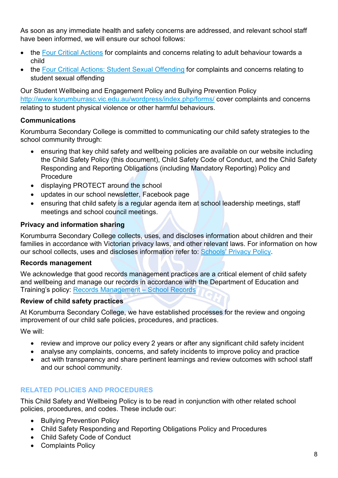As soon as any immediate health and safety concerns are addressed, and relevant school staff have been informed, we will ensure our school follows:

- the [Four Critical Actions](https://www.education.vic.gov.au/Documents/about/programs/health/protect/FourCriticalActions_ChildAbuse.pdf) for complaints and concerns relating to adult behaviour towards a child
- the [Four Critical Actions: Student Sexual Offending](https://www.education.vic.gov.au/school/teachers/health/childprotection/Pages/stusexual.aspx) for complaints and concerns relating to student sexual offending

Our Student Wellbeing and Engagement Policy and Bullying Prevention Policy <http://www.korumburrasc.vic.edu.au/wordpress/index.php/forms/> cover complaints and concerns relating to student physical violence or other harmful behaviours.

## **Communications**

Korumburra Secondary College is committed to communicating our child safety strategies to the school community through:

- ensuring that key child safety and wellbeing policies are available on our website including the Child Safety Policy (this document), Child Safety Code of Conduct, and the Child Safety Responding and Reporting Obligations (including Mandatory Reporting) Policy and Procedure
- displaying PROTECT around the school
- updates in our school newsletter. Facebook page
- ensuring that child safety is a regular agenda item at school leadership meetings, staff meetings and school council meetings.

## **Privacy and information sharing**

Korumburra Secondary College collects, uses, and discloses information about children and their families in accordance with Victorian privacy laws, and other relevant laws. For information on how our school collects, uses and discloses information refer to: [Schools' Privacy Policy.](https://www.education.vic.gov.au/Pages/schoolsprivacypolicy.aspx)

#### **Records management**

We acknowledge that good records management practices are a critical element of child safety and wellbeing and manage our records in accordance with the Department of Education and Training's policy: [Records Management –](https://www2.education.vic.gov.au/pal/records-management/policy) School Records

#### **Review of child safety practices**

At Korumburra Secondary College, we have established processes for the review and ongoing improvement of our child safe policies, procedures, and practices.

We will:

- review and improve our policy every 2 years or after any significant child safety incident
- analyse any complaints, concerns, and safety incidents to improve policy and practice
- act with transparency and share pertinent learnings and review outcomes with school staff and our school community.

# **RELATED POLICIES AND PROCEDURES**

This Child Safety and Wellbeing Policy is to be read in conjunction with other related school policies, procedures, and codes. These include our:

- Bullying Prevention Policy
- Child Safety Responding and Reporting Obligations Policy and Procedures
- Child Safety Code of Conduct
- Complaints Policy